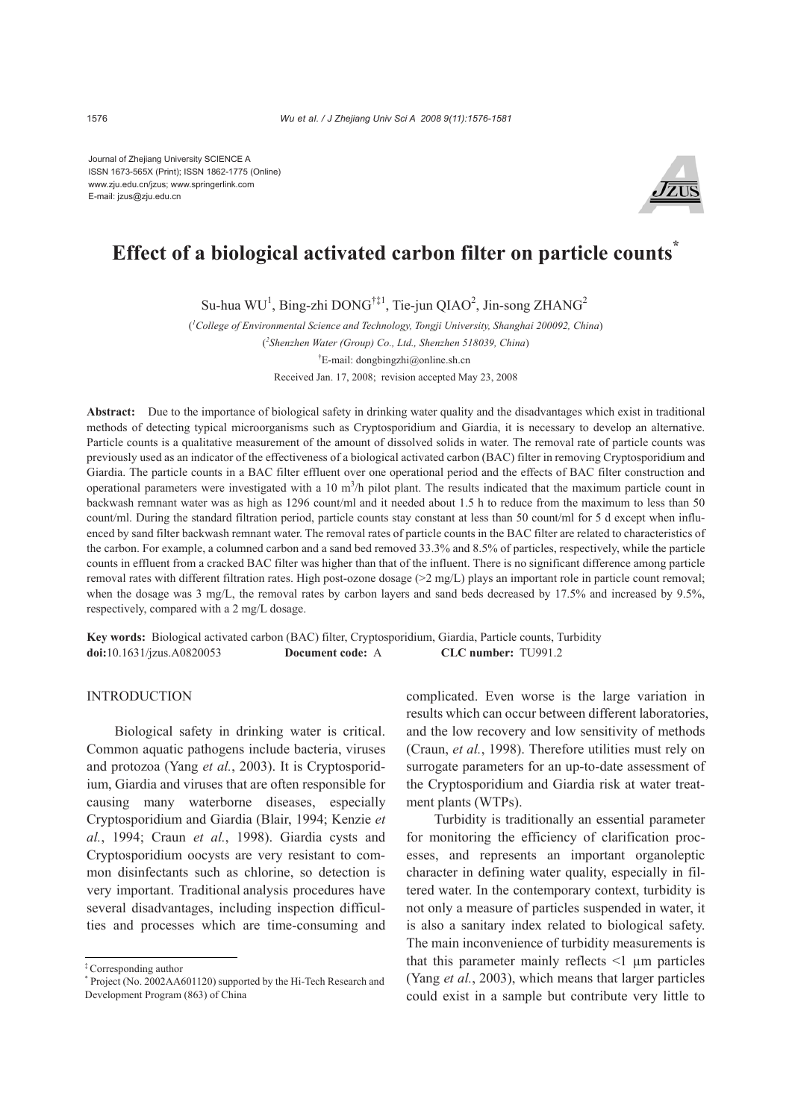Journal of Zhejiang University SCIENCE A ISSN 1673-565X (Print); ISSN 1862-1775 (Online) www.zju.edu.cn/jzus; www.springerlink.com E-mail: jzus@zju.edu.cn



# **Effect of a biological activated carbon filter on particle counts\***

Su-hua WU<sup>1</sup>, Bing-zhi DONG<sup>†‡1</sup>, Tie-jun QIAO<sup>2</sup>, Jin-song ZHANG<sup>2</sup>

( *1 College of Environmental Science and Technology, Tongji University, Shanghai 200092, China*) ( *2 Shenzhen Water (Group) Co., Ltd., Shenzhen 518039, China*) † E-mail: dongbingzhi@online.sh.cn Received Jan. 17, 2008; revision accepted May 23, 2008

**Abstract:** Due to the importance of biological safety in drinking water quality and the disadvantages which exist in traditional methods of detecting typical microorganisms such as Cryptosporidium and Giardia, it is necessary to develop an alternative. Particle counts is a qualitative measurement of the amount of dissolved solids in water. The removal rate of particle counts was previously used as an indicator of the effectiveness of a biological activated carbon (BAC) filter in removing Cryptosporidium and Giardia. The particle counts in a BAC filter effluent over one operational period and the effects of BAC filter construction and operational parameters were investigated with a 10  $m<sup>3</sup>/h$  pilot plant. The results indicated that the maximum particle count in backwash remnant water was as high as 1296 count/ml and it needed about 1.5 h to reduce from the maximum to less than 50 count/ml. During the standard filtration period, particle counts stay constant at less than 50 count/ml for 5 d except when influenced by sand filter backwash remnant water. The removal rates of particle counts in the BAC filter are related to characteristics of the carbon. For example, a columned carbon and a sand bed removed 33.3% and 8.5% of particles, respectively, while the particle counts in effluent from a cracked BAC filter was higher than that of the influent. There is no significant difference among particle removal rates with different filtration rates. High post-ozone dosage  $(2 \text{ mg/L})$  plays an important role in particle count removal; when the dosage was 3 mg/L, the removal rates by carbon layers and sand beds decreased by 17.5% and increased by 9.5%, respectively, compared with a 2 mg/L dosage.

**Key words:** Biological activated carbon (BAC) filter, Cryptosporidium, Giardia, Particle counts, Turbidity **doi:**10.1631/jzus.A0820053 **Document code:** A **CLC number:** TU991.2

# INTRODUCTION

Biological safety in drinking water is critical. Common aquatic pathogens include bacteria, viruses and protozoa (Yang *et al.*, 2003). It is Cryptosporidium, Giardia and viruses that are often responsible for causing many waterborne diseases, especially Cryptosporidium and Giardia (Blair, 1994; Kenzie *et al.*, 1994; Craun *et al.*, 1998). Giardia cysts and Cryptosporidium oocysts are very resistant to common disinfectants such as chlorine, so detection is very important. Traditional analysis procedures have several disadvantages, including inspection difficulties and processes which are time-consuming and

complicated. Even worse is the large variation in results which can occur between different laboratories, and the low recovery and low sensitivity of methods (Craun, *et al.*, 1998). Therefore utilities must rely on surrogate parameters for an up-to-date assessment of the Cryptosporidium and Giardia risk at water treatment plants (WTPs).

Turbidity is traditionally an essential parameter for monitoring the efficiency of clarification processes, and represents an important organoleptic character in defining water quality, especially in filtered water. In the contemporary context, turbidity is not only a measure of particles suspended in water, it is also a sanitary index related to biological safety. The main inconvenience of turbidity measurements is that this parameter mainly reflects <1 µm particles (Yang *et al.*, 2003), which means that larger particles could exist in a sample but contribute very little to

<sup>‡</sup> Corresponding author

<sup>\*</sup> Project (No. 2002AA601120) supported by the Hi-Tech Research and Development Program (863) of China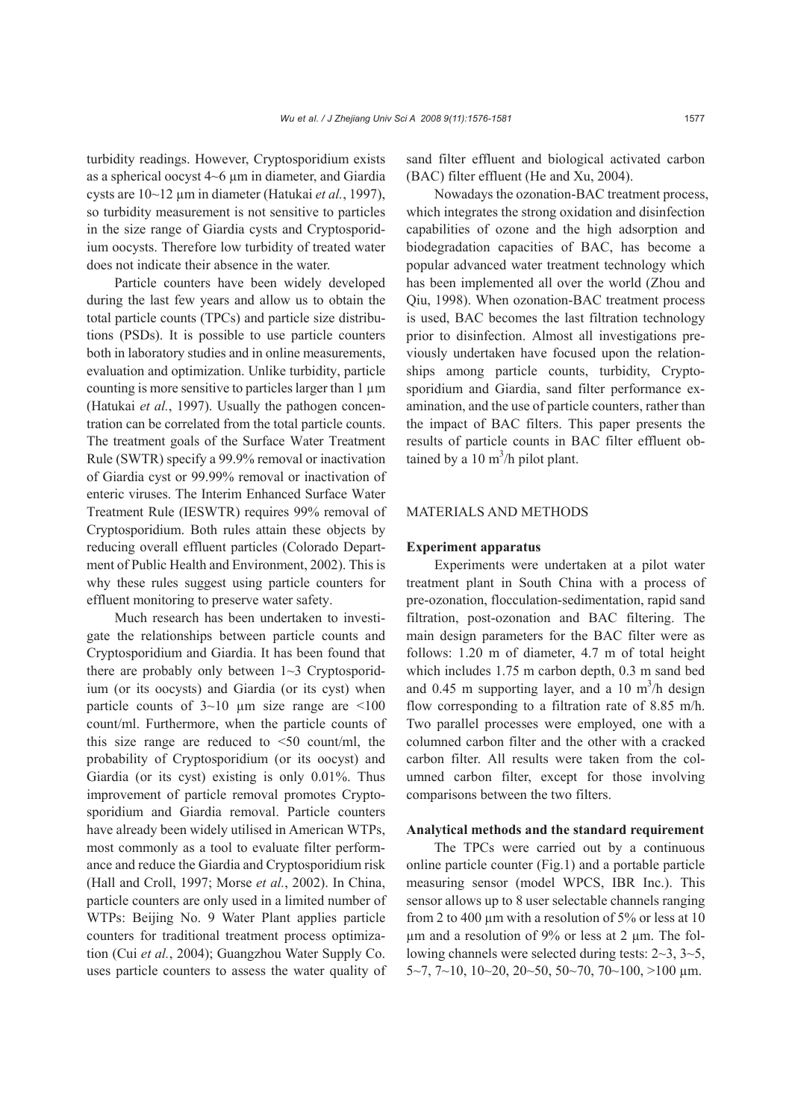turbidity readings. However, Cryptosporidium exists as a spherical oocyst 4~6 µm in diameter, and Giardia cysts are 10~12 µm in diameter (Hatukai *et al.*, 1997), so turbidity measurement is not sensitive to particles in the size range of Giardia cysts and Cryptosporidium oocysts. Therefore low turbidity of treated water

does not indicate their absence in the water.

Particle counters have been widely developed during the last few years and allow us to obtain the total particle counts (TPCs) and particle size distributions (PSDs). It is possible to use particle counters both in laboratory studies and in online measurements, evaluation and optimization. Unlike turbidity, particle counting is more sensitive to particles larger than  $1 \mu m$ (Hatukai *et al.*, 1997). Usually the pathogen concentration can be correlated from the total particle counts. The treatment goals of the Surface Water Treatment Rule (SWTR) specify a 99.9% removal or inactivation of Giardia cyst or 99.99% removal or inactivation of enteric viruses. The Interim Enhanced Surface Water Treatment Rule (IESWTR) requires 99% removal of Cryptosporidium. Both rules attain these objects by reducing overall effluent particles (Colorado Department of Public Health and Environment, 2002). This is why these rules suggest using particle counters for effluent monitoring to preserve water safety.

Much research has been undertaken to investigate the relationships between particle counts and Cryptosporidium and Giardia. It has been found that there are probably only between  $1~3$  Cryptosporidium (or its oocysts) and Giardia (or its cyst) when particle counts of  $3{\sim}10$  µm size range are  $\leq 100$ count/ml. Furthermore, when the particle counts of this size range are reduced to  $\leq 50$  count/ml, the probability of Cryptosporidium (or its oocyst) and Giardia (or its cyst) existing is only 0.01%. Thus improvement of particle removal promotes Cryptosporidium and Giardia removal. Particle counters have already been widely utilised in American WTPs, most commonly as a tool to evaluate filter performance and reduce the Giardia and Cryptosporidium risk (Hall and Croll, 1997; Morse *et al.*, 2002). In China, particle counters are only used in a limited number of WTPs: Beijing No. 9 Water Plant applies particle counters for traditional treatment process optimization (Cui *et al.*, 2004); Guangzhou Water Supply Co. uses particle counters to assess the water quality of sand filter effluent and biological activated carbon (BAC) filter effluent (He and Xu, 2004).

Nowadays the ozonation-BAC treatment process, which integrates the strong oxidation and disinfection capabilities of ozone and the high adsorption and biodegradation capacities of BAC, has become a popular advanced water treatment technology which has been implemented all over the world (Zhou and Qiu, 1998). When ozonation-BAC treatment process is used, BAC becomes the last filtration technology prior to disinfection. Almost all investigations previously undertaken have focused upon the relationships among particle counts, turbidity, Cryptosporidium and Giardia, sand filter performance examination, and the use of particle counters, rather than the impact of BAC filters. This paper presents the results of particle counts in BAC filter effluent obtained by a  $10 \text{ m}^3$ /h pilot plant.

## MATERIALS AND METHODS

#### **Experiment apparatus**

Experiments were undertaken at a pilot water treatment plant in South China with a process of pre-ozonation, flocculation-sedimentation, rapid sand filtration, post-ozonation and BAC filtering. The main design parameters for the BAC filter were as follows: 1.20 m of diameter, 4.7 m of total height which includes 1.75 m carbon depth, 0.3 m sand bed and 0.45 m supporting layer, and a 10 m<sup>3</sup>/h design flow corresponding to a filtration rate of 8.85 m/h. Two parallel processes were employed, one with a columned carbon filter and the other with a cracked carbon filter. All results were taken from the columned carbon filter, except for those involving comparisons between the two filters.

#### **Analytical methods and the standard requirement**

The TPCs were carried out by a continuous online particle counter (Fig.1) and a portable particle measuring sensor (model WPCS, IBR Inc.). This sensor allows up to 8 user selectable channels ranging from 2 to 400 µm with a resolution of 5% or less at 10 µm and a resolution of 9% or less at 2 µm. The following channels were selected during tests: 2~3, 3~5,  $5-7, 7-10, 10-20, 20-50, 50-70, 70-100, >100 \text{ }\mu\text{m}$ .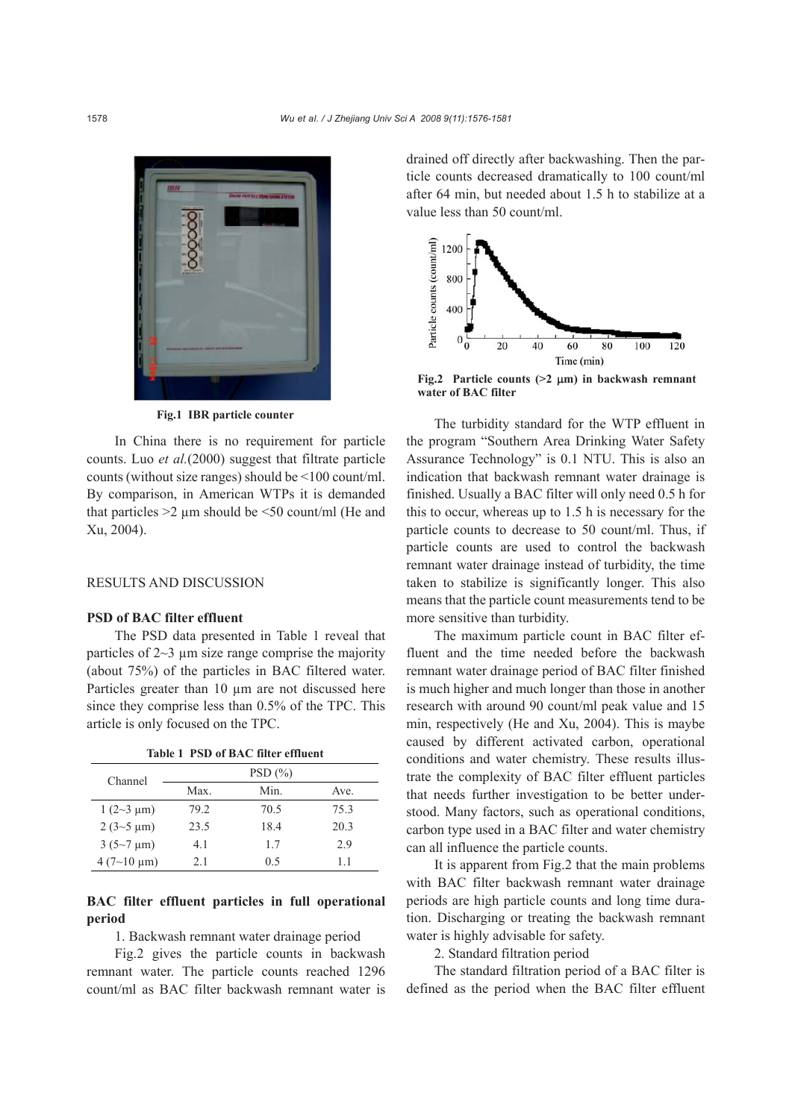

**Fig.1 IBR particle counter** 

In China there is no requirement for particle counts. Luo *et al.*(2000) suggest that filtrate particle counts (without size ranges) should be <100 count/ml. By comparison, in American WTPs it is demanded that particles  $>2$  µm should be  $\leq 50$  count/ml (He and Xu, 2004).

## RESULTS AND DISCUSSION

# **PSD of BAC filter effluent**

The PSD data presented in Table 1 reveal that particles of  $2~3$  µm size range comprise the majority (about 75%) of the particles in BAC filtered water. Particles greater than 10  $\mu$ m are not discussed here since they comprise less than 0.5% of the TPC. This article is only focused on the TPC.

|  |  | Table 1 PSD of BAC filter effluent |
|--|--|------------------------------------|
|  |  |                                    |

| Channel                            |      | PSD(%) |      |
|------------------------------------|------|--------|------|
|                                    | Max. | Min.   | Ave. |
| $1(2-3 \mu m)$                     | 79 2 | 70.5   | 75.3 |
| $2(3-5 \mu m)$                     | 23.5 | 18.4   | 20.3 |
| $3(5{\sim}7 \text{ }\mu\text{m})$  | 41   | 17     | 2.9  |
| $4(7{\sim}10 \text{ }\mu\text{m})$ | 2.1  | 0.5    | 11   |

# **BAC filter effluent particles in full operational period**

1. Backwash remnant water drainage period

Fig.2 gives the particle counts in backwash remnant water. The particle counts reached 1296 count/ml as BAC filter backwash remnant water is

drained off directly after backwashing. Then the particle counts decreased dramatically to 100 count/ml after 64 min, but needed about 1.5 h to stabilize at a value less than 50 count/ml.



**Fig.2 Particle counts (>2** μ**m) in backwash remnant water of BAC filter** 

The turbidity standard for the WTP effluent in the program "Southern Area Drinking Water Safety Assurance Technology" is 0.1 NTU. This is also an indication that backwash remnant water drainage is finished. Usually a BAC filter will only need 0.5 h for this to occur, whereas up to 1.5 h is necessary for the particle counts to decrease to 50 count/ml. Thus, if particle counts are used to control the backwash remnant water drainage instead of turbidity, the time taken to stabilize is significantly longer. This also means that the particle count measurements tend to be more sensitive than turbidity.

The maximum particle count in BAC filter effluent and the time needed before the backwash remnant water drainage period of BAC filter finished is much higher and much longer than those in another research with around 90 count/ml peak value and 15 min, respectively (He and Xu, 2004). This is maybe caused by different activated carbon, operational conditions and water chemistry. These results illustrate the complexity of BAC filter effluent particles that needs further investigation to be better understood. Many factors, such as operational conditions, carbon type used in a BAC filter and water chemistry can all influence the particle counts.

It is apparent from Fig.2 that the main problems with BAC filter backwash remnant water drainage periods are high particle counts and long time duration. Discharging or treating the backwash remnant water is highly advisable for safety.

2. Standard filtration period

The standard filtration period of a BAC filter is defined as the period when the BAC filter effluent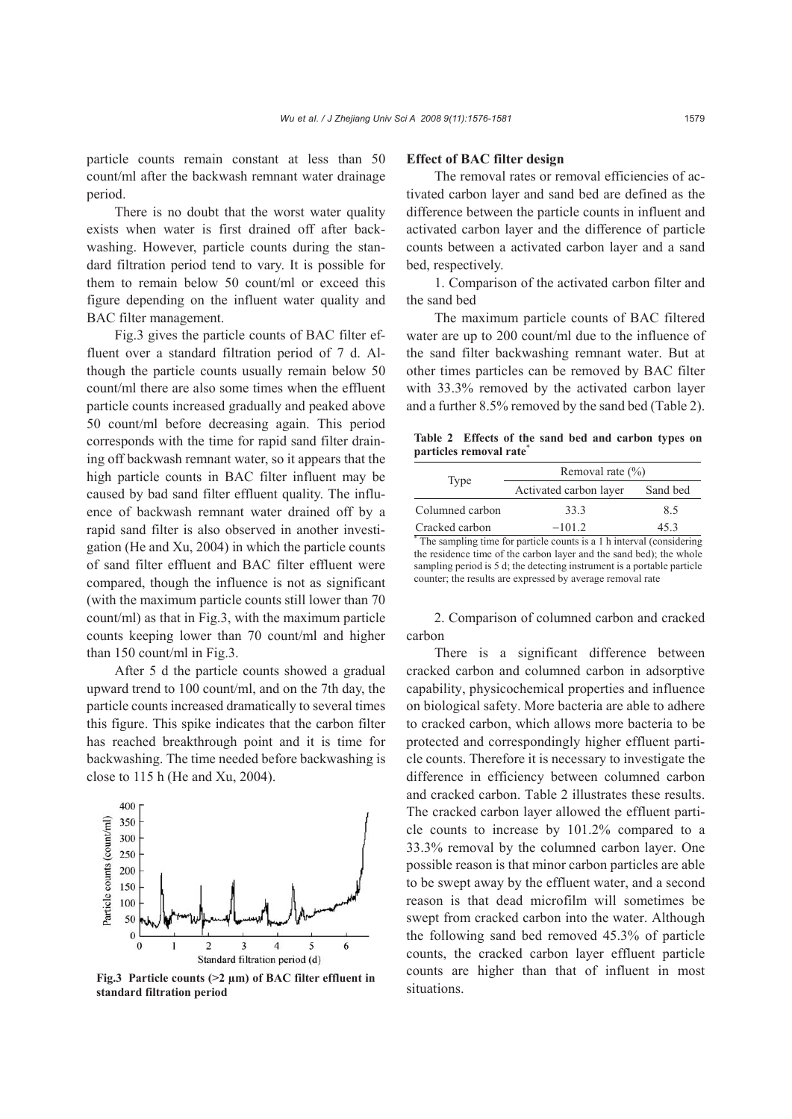particle counts remain constant at less than 50 count/ml after the backwash remnant water drainage period.

There is no doubt that the worst water quality exists when water is first drained off after backwashing. However, particle counts during the standard filtration period tend to vary. It is possible for them to remain below 50 count/ml or exceed this figure depending on the influent water quality and BAC filter management.

Fig.3 gives the particle counts of BAC filter effluent over a standard filtration period of 7 d. Although the particle counts usually remain below 50 count/ml there are also some times when the effluent particle counts increased gradually and peaked above 50 count/ml before decreasing again. This period corresponds with the time for rapid sand filter draining off backwash remnant water, so it appears that the high particle counts in BAC filter influent may be caused by bad sand filter effluent quality. The influence of backwash remnant water drained off by a rapid sand filter is also observed in another investigation (He and Xu, 2004) in which the particle counts of sand filter effluent and BAC filter effluent were compared, though the influence is not as significant (with the maximum particle counts still lower than 70 count/ml) as that in Fig.3, with the maximum particle counts keeping lower than 70 count/ml and higher than 150 count/ml in Fig.3.

After 5 d the particle counts showed a gradual upward trend to 100 count/ml, and on the 7th day, the particle counts increased dramatically to several times this figure. This spike indicates that the carbon filter has reached breakthrough point and it is time for backwashing. The time needed before backwashing is close to 115 h (He and Xu, 2004).

### 400 Particle counts (count/ml) 350 300 250 200 150 100 50  $\mathbf{0}$

Fig.3 Particle counts (>2 µm) of BAC filter effluent in <br>stuations. **standard filtration period** 

3

Standard filtration period (d)

 $\overline{4}$ 

5

6

 $\overline{2}$ 

 $\theta$ 

## **Effect of BAC filter design**

The removal rates or removal efficiencies of activated carbon layer and sand bed are defined as the difference between the particle counts in influent and activated carbon layer and the difference of particle counts between a activated carbon layer and a sand bed, respectively.

1. Comparison of the activated carbon filter and the sand bed

The maximum particle counts of BAC filtered water are up to 200 count/ml due to the influence of the sand filter backwashing remnant water. But at other times particles can be removed by BAC filter with 33.3% removed by the activated carbon layer and a further 8.5% removed by the sand bed (Table 2).

**Table 2 Effects of the sand bed and carbon types on particles removal rate**<sup>\*</sup>

|                 | Removal rate $(\% )$                                                   |          |  |  |
|-----------------|------------------------------------------------------------------------|----------|--|--|
| Type            | Activated carbon layer                                                 | Sand bed |  |  |
| Columned carbon | 33.3                                                                   | 8.5      |  |  |
| Cracked carbon  | $-101.2$                                                               | 45.3     |  |  |
|                 | * The sampling time for particle counts is a 1 h interval (considering |          |  |  |

the residence time of the carbon layer and the sand bed); the whole sampling period is 5 d; the detecting instrument is a portable particle counter; the results are expressed by average removal rate

2. Comparison of columned carbon and cracked carbon

There is a significant difference between cracked carbon and columned carbon in adsorptive capability, physicochemical properties and influence on biological safety. More bacteria are able to adhere to cracked carbon, which allows more bacteria to be protected and correspondingly higher effluent particle counts. Therefore it is necessary to investigate the difference in efficiency between columned carbon and cracked carbon. Table 2 illustrates these results. The cracked carbon layer allowed the effluent particle counts to increase by 101.2% compared to a 33.3% removal by the columned carbon layer. One possible reason is that minor carbon particles are able to be swept away by the effluent water, and a second reason is that dead microfilm will sometimes be swept from cracked carbon into the water. Although the following sand bed removed 45.3% of particle counts, the cracked carbon layer effluent particle counts are higher than that of influent in most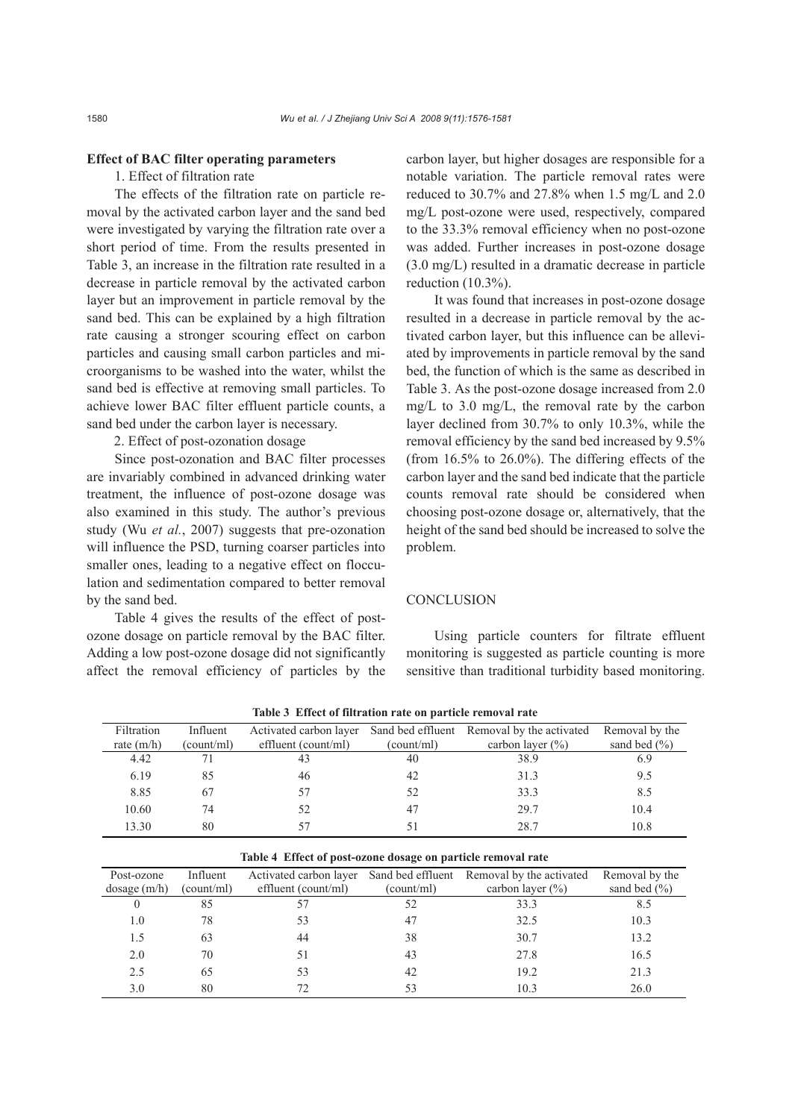# **Effect of BAC filter operating parameters**

## 1. Effect of filtration rate

The effects of the filtration rate on particle removal by the activated carbon layer and the sand bed were investigated by varying the filtration rate over a short period of time. From the results presented in Table 3, an increase in the filtration rate resulted in a decrease in particle removal by the activated carbon layer but an improvement in particle removal by the sand bed. This can be explained by a high filtration rate causing a stronger scouring effect on carbon particles and causing small carbon particles and microorganisms to be washed into the water, whilst the sand bed is effective at removing small particles. To achieve lower BAC filter effluent particle counts, a sand bed under the carbon layer is necessary.

2. Effect of post-ozonation dosage

Since post-ozonation and BAC filter processes are invariably combined in advanced drinking water treatment, the influence of post-ozone dosage was also examined in this study. The author's previous study (Wu *et al.*, 2007) suggests that pre-ozonation will influence the PSD, turning coarser particles into smaller ones, leading to a negative effect on flocculation and sedimentation compared to better removal by the sand bed.

Table 4 gives the results of the effect of postozone dosage on particle removal by the BAC filter. Adding a low post-ozone dosage did not significantly affect the removal efficiency of particles by the carbon layer, but higher dosages are responsible for a notable variation. The particle removal rates were reduced to 30.7% and 27.8% when 1.5 mg/L and 2.0 mg/L post-ozone were used, respectively, compared to the 33.3% removal efficiency when no post-ozone was added. Further increases in post-ozone dosage (3.0 mg/L) resulted in a dramatic decrease in particle reduction (10.3%).

It was found that increases in post-ozone dosage resulted in a decrease in particle removal by the activated carbon layer, but this influence can be alleviated by improvements in particle removal by the sand bed, the function of which is the same as described in Table 3. As the post-ozone dosage increased from 2.0 mg/L to 3.0 mg/L, the removal rate by the carbon layer declined from 30.7% to only 10.3%, while the removal efficiency by the sand bed increased by 9.5% (from 16.5% to 26.0%). The differing effects of the carbon layer and the sand bed indicate that the particle counts removal rate should be considered when choosing post-ozone dosage or, alternatively, that the height of the sand bed should be increased to solve the problem.

#### **CONCLUSION**

Using particle counters for filtrate effluent monitoring is suggested as particle counting is more sensitive than traditional turbidity based monitoring.

| Filtration   | Influent   | Activated carbon layer |            | Sand bed effluent Removal by the activated | Removal by the   |
|--------------|------------|------------------------|------------|--------------------------------------------|------------------|
| rate $(m/h)$ | (count/ml) | effluent (count/ml)    | (count/ml) | carbon layer $(\% )$                       | sand bed $(\% )$ |
| 4.42         |            | 43                     | 40         | 38.9                                       | 6.9              |
| 6.19         | 85         | 46                     | 42         | 31.3                                       | 9.5              |
| 8.85         | 67         | 57                     | 52         | 33.3                                       | 8.5              |
| 10.60        | 74         | 52                     | 47         | 29.7                                       | 10.4             |
| 13.30        | 80         | 57                     |            | 28.7                                       | 10.8             |
|              |            |                        |            |                                            |                  |

**Table 3 Effect of filtration rate on particle removal rate** 

| Table 4 Effect of post-ozone dosage on particle removal rate |            |                        |            |                                            |                  |  |
|--------------------------------------------------------------|------------|------------------------|------------|--------------------------------------------|------------------|--|
| Post-ozone                                                   | Influent   | Activated carbon layer |            | Sand bed effluent Removal by the activated | Removal by the   |  |
| $\frac{1}{2}$ dosage $(m/h)$                                 | (count/ml) | effluent (count/ml)    | (count/ml) | carbon layer $(\% )$                       | sand bed $(\% )$ |  |
|                                                              | 85         | 57                     | 52         | 33.3                                       | 8.5              |  |
| 1.0                                                          | 78         | 53                     | 47         | 32.5                                       | 10.3             |  |
| 1.5                                                          | 63         | 44                     | 38         | 30.7                                       | 13.2             |  |
| 2.0                                                          | 70         | 51                     | 43         | 27.8                                       | 16.5             |  |
| 2.5                                                          | 65         | 53                     | 42         | 19.2                                       | 21.3             |  |
| 3.0                                                          | 80         |                        | 53         | 10.3                                       | 26.0             |  |